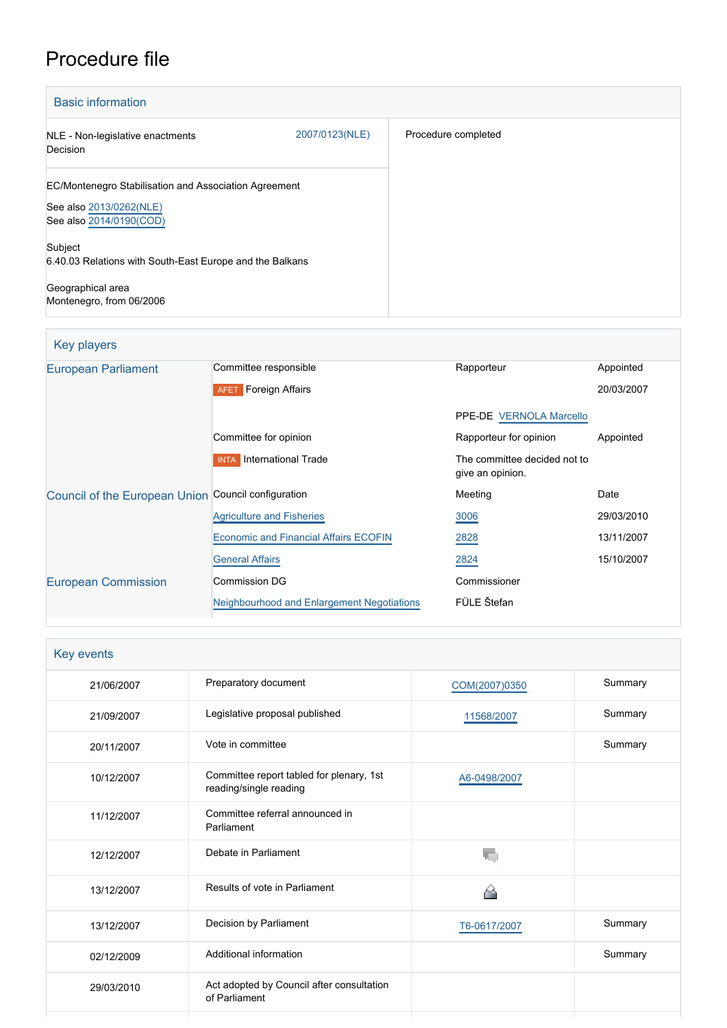# Procedure file

| <b>Basic information</b>                                                                                    |                |                     |
|-------------------------------------------------------------------------------------------------------------|----------------|---------------------|
| NLE - Non-legislative enactments<br>Decision                                                                | 2007/0123(NLE) | Procedure completed |
| EC/Montenegro Stabilisation and Association Agreement<br>See also 2013/0262(NLE)<br>See also 2014/0190(COD) |                |                     |
| Subject<br>6.40.03 Relations with South-East Europe and the Balkans<br>Geographical area                    |                |                     |
| Montenegro, from 06/2006                                                                                    |                |                     |

| <b>Key players</b>                                  |                                              |                                                  |            |
|-----------------------------------------------------|----------------------------------------------|--------------------------------------------------|------------|
| <b>European Parliament</b>                          | Committee responsible                        | Rapporteur                                       | Appointed  |
|                                                     | <b>AFET</b> Foreign Affairs                  |                                                  | 20/03/2007 |
|                                                     |                                              | PPE-DE VERNOLA Marcello                          |            |
|                                                     | Committee for opinion                        | Rapporteur for opinion                           | Appointed  |
|                                                     | International Trade<br><b>INTA</b>           | The committee decided not to<br>give an opinion. |            |
| Council of the European Union Council configuration |                                              | Meeting                                          | Date       |
|                                                     | <b>Agriculture and Fisheries</b>             | 3006                                             | 29/03/2010 |
|                                                     | <b>Economic and Financial Affairs ECOFIN</b> | 2828                                             | 13/11/2007 |
|                                                     | <b>General Affairs</b>                       | 2824                                             | 15/10/2007 |
| <b>European Commission</b>                          | <b>Commission DG</b>                         | Commissioner                                     |            |
|                                                     | Neighbourhood and Enlargement Negotiations   | FÜLE Štefan                                      |            |
|                                                     |                                              |                                                  |            |

| Key events |                                                                    |               |         |
|------------|--------------------------------------------------------------------|---------------|---------|
| 21/06/2007 | Preparatory document                                               | COM(2007)0350 | Summary |
| 21/09/2007 | Legislative proposal published                                     | 11568/2007    | Summary |
| 20/11/2007 | Vote in committee                                                  |               | Summary |
| 10/12/2007 | Committee report tabled for plenary, 1st<br>reading/single reading | A6-0498/2007  |         |
| 11/12/2007 | Committee referral announced in<br>Parliament                      |               |         |
| 12/12/2007 | Debate in Parliament                                               |               |         |
| 13/12/2007 | Results of vote in Parliament                                      |               |         |
| 13/12/2007 | Decision by Parliament                                             | T6-0617/2007  | Summary |
| 02/12/2009 | Additional information                                             |               | Summary |
| 29/03/2010 | Act adopted by Council after consultation<br>of Parliament         |               |         |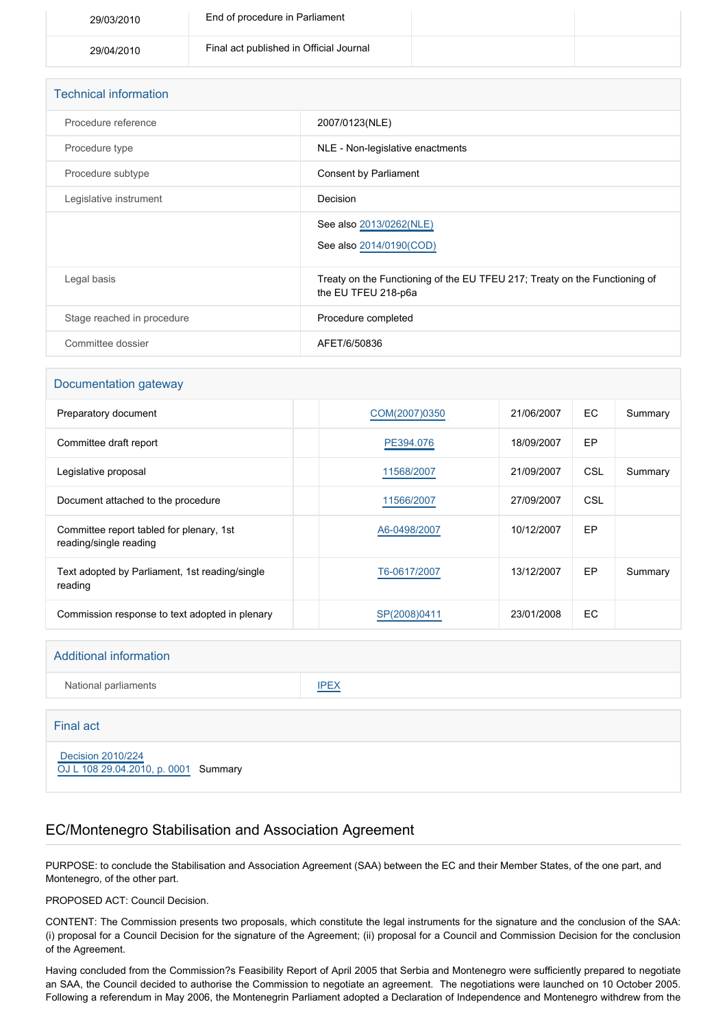| 29/03/2010 | End of procedure in Parliament          |  |
|------------|-----------------------------------------|--|
| 29/04/2010 | Final act published in Official Journal |  |

| <b>Technical information</b> |                                                                                                   |
|------------------------------|---------------------------------------------------------------------------------------------------|
| Procedure reference          | 2007/0123(NLE)                                                                                    |
| Procedure type               | NLE - Non-legislative enactments                                                                  |
| Procedure subtype            | Consent by Parliament                                                                             |
| Legislative instrument       | Decision                                                                                          |
|                              | See also 2013/0262(NLE)<br>See also 2014/0190(COD)                                                |
| Legal basis                  | Treaty on the Functioning of the EU TFEU 217; Treaty on the Functioning of<br>the EU TFEU 218-p6a |
| Stage reached in procedure   | Procedure completed                                                                               |
| Committee dossier            | AFET/6/50836                                                                                      |

#### Documentation gateway

| Preparatory document                                               | COM(2007)0350 | 21/06/2007 | EC. | Summary |
|--------------------------------------------------------------------|---------------|------------|-----|---------|
| Committee draft report                                             | PE394.076     | 18/09/2007 | EP  |         |
| Legislative proposal                                               | 11568/2007    | 21/09/2007 | CSL | Summary |
| Document attached to the procedure                                 | 11566/2007    | 27/09/2007 | CSL |         |
| Committee report tabled for plenary, 1st<br>reading/single reading | A6-0498/2007  | 10/12/2007 | EP  |         |
| Text adopted by Parliament, 1st reading/single<br>reading          | T6-0617/2007  | 13/12/2007 | EP  | Summary |
| Commission response to text adopted in plenary                     | SP(2008)0411  | 23/01/2008 | EC. |         |

| <b>Additional information</b>                             |             |
|-----------------------------------------------------------|-------------|
| National parliaments                                      | <b>IPEX</b> |
| <b>Final act</b>                                          |             |
| Decision 2010/224<br>OJ L 108 29.04.2010, p. 0001 Summary |             |

## EC/Montenegro Stabilisation and Association Agreement

PURPOSE: to conclude the Stabilisation and Association Agreement (SAA) between the EC and their Member States, of the one part, and Montenegro, of the other part.

PROPOSED ACT: Council Decision.

CONTENT: The Commission presents two proposals, which constitute the legal instruments for the signature and the conclusion of the SAA: (i) proposal for a Council Decision for the signature of the Agreement; (ii) proposal for a Council and Commission Decision for the conclusion of the Agreement.

Having concluded from the Commission?s Feasibility Report of April 2005 that Serbia and Montenegro were sufficiently prepared to negotiate an SAA, the Council decided to authorise the Commission to negotiate an agreement. The negotiations were launched on 10 October 2005. Following a referendum in May 2006, the Montenegrin Parliament adopted a Declaration of Independence and Montenegro withdrew from the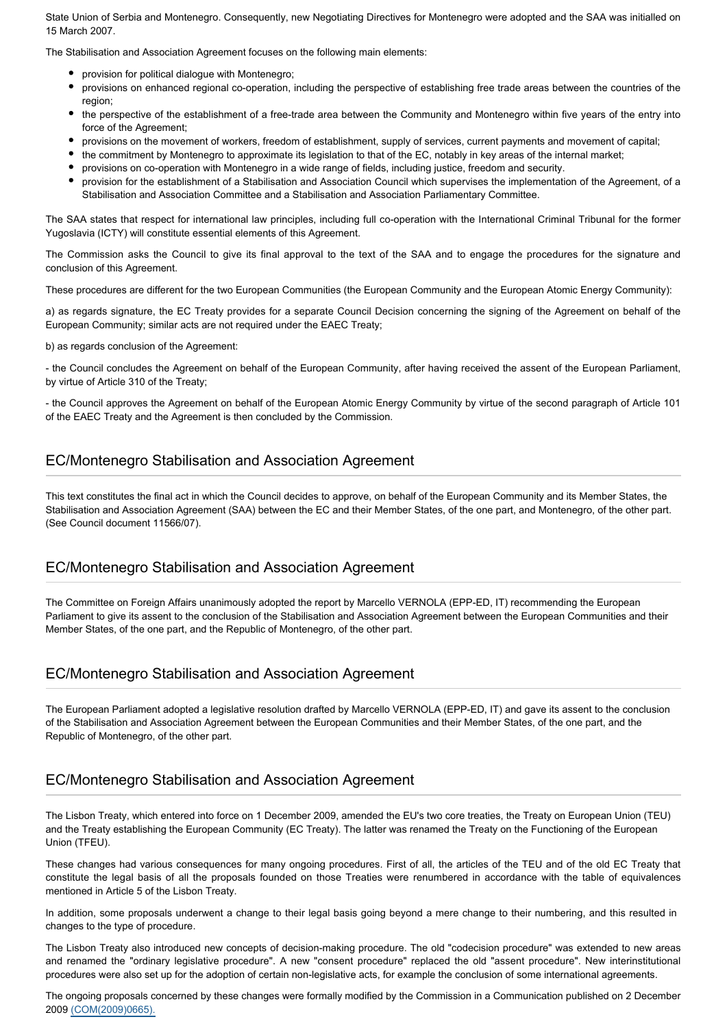State Union of Serbia and Montenegro. Consequently, new Negotiating Directives for Montenegro were adopted and the SAA was initialled on 15 March 2007.

The Stabilisation and Association Agreement focuses on the following main elements:

- provision for political dialogue with Montenegro;
- provisions on enhanced regional co-operation, including the perspective of establishing free trade areas between the countries of the region;
- the perspective of the establishment of a free-trade area between the Community and Montenegro within five years of the entry into force of the Agreement;
- provisions on the movement of workers, freedom of establishment, supply of services, current payments and movement of capital;
- the commitment by Montenegro to approximate its legislation to that of the EC, notably in key areas of the internal market;
- provisions on co-operation with Montenegro in a wide range of fields, including justice, freedom and security.
- provision for the establishment of a Stabilisation and Association Council which supervises the implementation of the Agreement, of a Stabilisation and Association Committee and a Stabilisation and Association Parliamentary Committee.

The SAA states that respect for international law principles, including full co-operation with the International Criminal Tribunal for the former Yugoslavia (ICTY) will constitute essential elements of this Agreement.

The Commission asks the Council to give its final approval to the text of the SAA and to engage the procedures for the signature and conclusion of this Agreement.

These procedures are different for the two European Communities (the European Community and the European Atomic Energy Community):

a) as regards signature, the EC Treaty provides for a separate Council Decision concerning the signing of the Agreement on behalf of the European Community; similar acts are not required under the EAEC Treaty;

b) as regards conclusion of the Agreement:

- the Council concludes the Agreement on behalf of the European Community, after having received the assent of the European Parliament, by virtue of Article 310 of the Treaty;

- the Council approves the Agreement on behalf of the European Atomic Energy Community by virtue of the second paragraph of Article 101 of the EAEC Treaty and the Agreement is then concluded by the Commission.

### EC/Montenegro Stabilisation and Association Agreement

This text constitutes the final act in which the Council decides to approve, on behalf of the European Community and its Member States, the Stabilisation and Association Agreement (SAA) between the EC and their Member States, of the one part, and Montenegro, of the other part. (See Council document 11566/07).

### EC/Montenegro Stabilisation and Association Agreement

The Committee on Foreign Affairs unanimously adopted the report by Marcello VERNOLA (EPP-ED, IT) recommending the European Parliament to give its assent to the conclusion of the Stabilisation and Association Agreement between the European Communities and their Member States, of the one part, and the Republic of Montenegro, of the other part.

### EC/Montenegro Stabilisation and Association Agreement

The European Parliament adopted a legislative resolution drafted by Marcello VERNOLA (EPP-ED, IT) and gave its assent to the conclusion of the Stabilisation and Association Agreement between the European Communities and their Member States, of the one part, and the Republic of Montenegro, of the other part.

# EC/Montenegro Stabilisation and Association Agreement

The Lisbon Treaty, which entered into force on 1 December 2009, amended the EU's two core treaties, the Treaty on European Union (TEU) and the Treaty establishing the European Community (EC Treaty). The latter was renamed the Treaty on the Functioning of the European Union (TFEU).

These changes had various consequences for many ongoing procedures. First of all, the articles of the TEU and of the old EC Treaty that constitute the legal basis of all the proposals founded on those Treaties were renumbered in accordance with the table of equivalences mentioned in Article 5 of the Lisbon Treaty.

In addition, some proposals underwent a change to their legal basis going beyond a mere change to their numbering, and this resulted in changes to the type of procedure.

The Lisbon Treaty also introduced new concepts of decision-making procedure. The old "codecision procedure" was extended to new areas and renamed the "ordinary legislative procedure". A new "consent procedure" replaced the old "assent procedure". New interinstitutional procedures were also set up for the adoption of certain non-legislative acts, for example the conclusion of some international agreements.

The ongoing proposals concerned by these changes were formally modified by the Commission in a Communication published on 2 December 2009 [\(COM\(2009\)0665\).](http://eur-lex.europa.eu/LexUriServ/LexUriServ.do?uri=COM:2009:0665:FIN:EN:PDF)